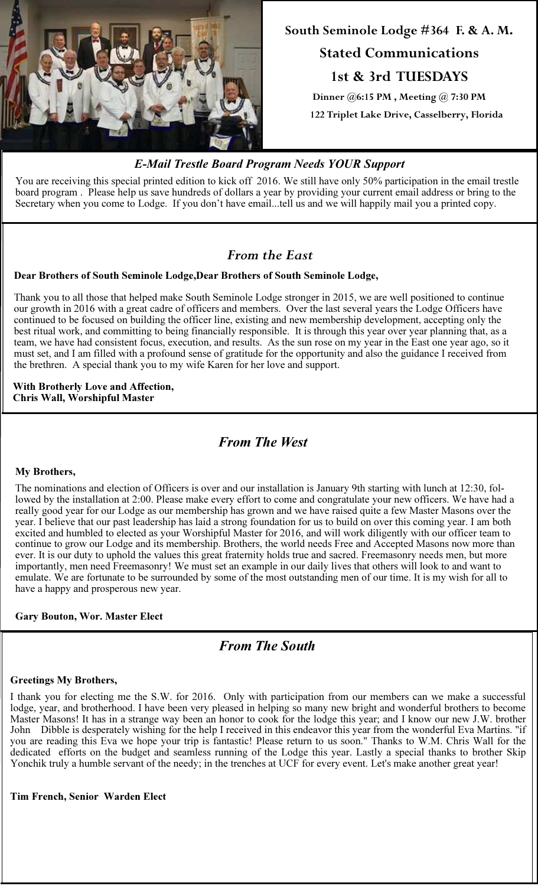

# South Seminole Lodge #364 F. & A. M. Stated Communications

1st & 3rd TUESDAYS

Dinner @6:15 PM , Meeting @ 7:30 PM 122 Triplet Lake Drive, Casselberry, Florida

# E-Mail Trestle Board Program Needs YOUR Support

You are receiving this special printed edition to kick off 2016. We still have only 50% participation in the email trestle board program . Please help us save hundreds of dollars a year by providing your current email address or bring to the Secretary when you come to Lodge. If you don't have email...tell us and we will happily mail you a printed copy.

# From the East

## Dear Brothers of South Seminole Lodge,Dear Brothers of South Seminole Lodge,

Thank you to all those that helped make South Seminole Lodge stronger in 2015, we are well positioned to continue our growth in 2016 with a great cadre of officers and members. Over the last several years the Lodge Officers have continued to be focused on building the officer line, existing and new membership development, accepting only the best ritual work, and committing to being financially responsible. It is through this year over year planning that, as a team, we have had consistent focus, execution, and results. As the sun rose on my year in the East one year ago, so it must set, and I am filled with a profound sense of gratitude for the opportunity and also the guidance I received from the brethren. A special thank you to my wife Karen for her love and support.

With Brotherly Love and Affection, Chris Wall, Worshipful Master

From The West

#### My Brothers,

The nominations and election of Officers is over and our installation is January 9th starting with lunch at 12:30, followed by the installation at 2:00. Please make every effort to come and congratulate your new officers. We have had a really good year for our Lodge as our membership has grown and we have raised quite a few Master Masons over the year. I believe that our past leadership has laid a strong foundation for us to build on over this coming year. I am both excited and humbled to elected as your Worshipful Master for 2016, and will work diligently with our officer team to continue to grow our Lodge and its membership. Brothers, the world needs Free and Accepted Masons now more than ever. It is our duty to uphold the values this great fraternity holds true and sacred. Freemasonry needs men, but more importantly, men need Freemasonry! We must set an example in our daily lives that others will look to and want to emulate. We are fortunate to be surrounded by some of the most outstanding men of our time. It is my wish for all to have a happy and prosperous new year.

#### Gary Bouton, Wor. Master Elect

# From The South

#### Greetings My Brothers,

I thank you for electing me the S.W. for 2016. Only with participation from our members can we make a successful lodge, year, and brotherhood. I have been very pleased in helping so many new bright and wonderful brothers to become Master Masons! It has in a strange way been an honor to cook for the lodge this year; and I know our new J.W. brother John Dibble is desperately wishing for the help I received in this endeavor this year from the wonderful Eva Martins. "if you are reading this Eva we hope your trip is fantastic! Please return to us soon." Thanks to W.M. Chris Wall for the dedicated efforts on the budget and seamless running of the Lodge this year. Lastly a special thanks to brother Skip Yonchik truly a humble servant of the needy; in the trenches at UCF for every event. Let's make another great year!

Tim French, Senior Warden Elect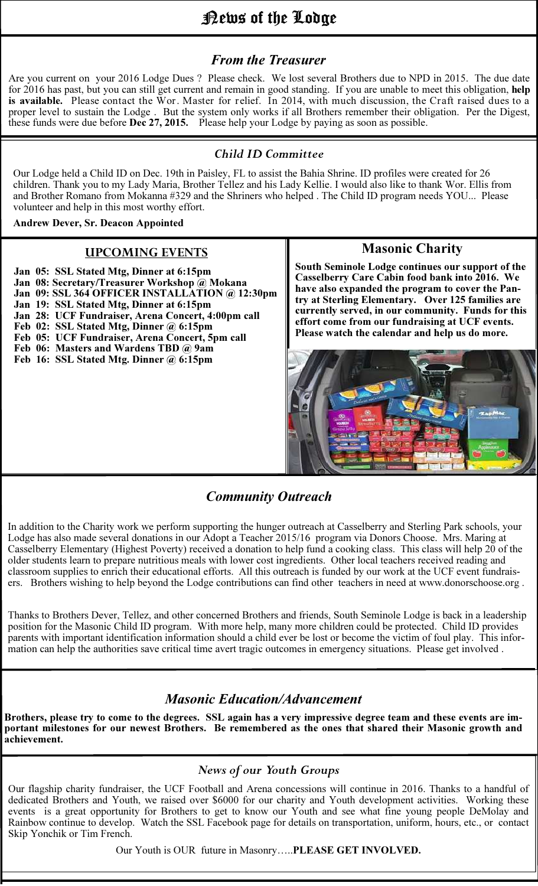# News of the Lodge

# From the Treasurer

Are you current on your 2016 Lodge Dues ? Please check. We lost several Brothers due to NPD in 2015. The due date for 2016 has past, but you can still get current and remain in good standing. If you are unable to meet this obligation, help is available. Please contact the Wor. Master for relief. In 2014, with much discussion, the Craft raised dues to a proper level to sustain the Lodge . But the system only works if all Brothers remember their obligation. Per the Digest, these funds were due before **Dec 27, 2015.** Please help your Lodge by paying as soon as possible.

### Child ID Committee

Our Lodge held a Child ID on Dec. 19th in Paisley, FL to assist the Bahia Shrine. ID profiles were created for 26 children. Thank you to my Lady Maria, Brother Tellez and his Lady Kellie. I would also like to thank Wor. Ellis from and Brother Romano from Mokanna #329 and the Shriners who helped . The Child ID program needs YOU... Please volunteer and help in this most worthy effort.

#### Andrew Dever, Sr. Deacon Appointed

#### UPCOMING EVENTS

- Jan 05: SSL Stated Mtg, Dinner at 6:15pm Jan 08: Secretary/Treasurer Workshop @ Mokana Jan 09: SSL 364 OFFICER INSTALLATION @ 12:30pm Jan 19: SSL Stated Mtg, Dinner at 6:15pm Jan 28: UCF Fundraiser, Arena Concert, 4:00pm call Feb 02: SSL Stated Mtg, Dinner @ 6:15pm
- Feb 05: UCF Fundraiser, Arena Concert, 5pm call
- Feb 06: Masters and Wardens TBD @ 9am
- Feb 16: SSL Stated Mtg. Dinner @ 6:15pm

## Masonic Charity

South Seminole Lodge continues our support of the Casselberry Care Cabin food bank into 2016. We have also expanded the program to cover the Pantry at Sterling Elementary. Over 125 families are currently served, in our community. Funds for this effort come from our fundraising at UCF events. Please watch the calendar and help us do more.



# Community Outreach

In addition to the Charity work we perform supporting the hunger outreach at Casselberry and Sterling Park schools, your Lodge has also made several donations in our Adopt a Teacher 2015/16 program via Donors Choose. Mrs. Maring at Casselberry Elementary (Highest Poverty) received a donation to help fund a cooking class. This class will help 20 of the older students learn to prepare nutritious meals with lower cost ingredients. Other local teachers received reading and classroom supplies to enrich their educational efforts. All this outreach is funded by our work at the UCF event fundraisers. Brothers wishing to help beyond the Lodge contributions can find other teachers in need at www.donorschoose.org .

Thanks to Brothers Dever, Tellez, and other concerned Brothers and friends, South Seminole Lodge is back in a leadership position for the Masonic Child ID program. With more help, many more children could be protected. Child ID provides parents with important identification information should a child ever be lost or become the victim of foul play. This information can help the authorities save critical time avert tragic outcomes in emergency situations. Please get involved .

# Masonic Education/Advancement

Brothers, please try to come to the degrees. SSL again has a very impressive degree team and these events are important milestones for our newest Brothers. Be remembered as the ones that shared their Masonic growth and achievement.

### News of our Youth Groups

Our flagship charity fundraiser, the UCF Football and Arena concessions will continue in 2016. Thanks to a handful of dedicated Brothers and Youth, we raised over \$6000 for our charity and Youth development activities. Working these events is a great opportunity for Brothers to get to know our Youth and see what fine young people DeMolay and Rainbow continue to develop. Watch the SSL Facebook page for details on transportation, uniform, hours, etc., or contact Skip Yonchik or Tim French.

Our Youth is OUR future in Masonry…..PLEASE GET INVOLVED.